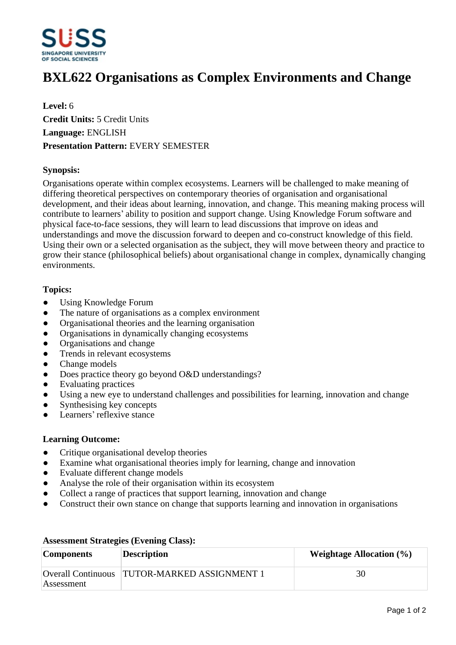

# **BXL622 Organisations as Complex Environments and Change**

**Level:** 6 **Credit Units:** 5 Credit Units **Language:** ENGLISH **Presentation Pattern:** EVERY SEMESTER

# **Synopsis:**

Organisations operate within complex ecosystems. Learners will be challenged to make meaning of differing theoretical perspectives on contemporary theories of organisation and organisational development, and their ideas about learning, innovation, and change. This meaning making process will contribute to learners' ability to position and support change. Using Knowledge Forum software and physical face-to-face sessions, they will learn to lead discussions that improve on ideas and understandings and move the discussion forward to deepen and co-construct knowledge of this field. Using their own or a selected organisation as the subject, they will move between theory and practice to grow their stance (philosophical beliefs) about organisational change in complex, dynamically changing environments.

# **Topics:**

- Using Knowledge Forum
- The nature of organisations as a complex environment
- Organisational theories and the learning organisation
- Organisations in dynamically changing ecosystems
- Organisations and change
- ƔTrends in relevant ecosystems
- Change models
- Does practice theory go beyond O&D understandings?
- Evaluating practices
- Using a new eye to understand challenges and possibilities for learning, innovation and change
- Synthesising key concepts
- Learners' reflexive stance

### **Learning Outcome:**

- Critique organisational develop theories
- Examine what organisational theories imply for learning, change and innovation
- Evaluate different change models
- Analyse the role of their organisation within its ecosystem
- Collect a range of practices that support learning, innovation and change
- Construct their own stance on change that supports learning and innovation in organisations

| <b>Components</b> | <b>Description</b>                           | Weightage Allocation $(\% )$ |
|-------------------|----------------------------------------------|------------------------------|
|                   | Overall Continuous TUTOR-MARKED ASSIGNMENT 1 | 30                           |
| Assessment        |                                              |                              |

### **Assessment Strategies (Evening Class):**